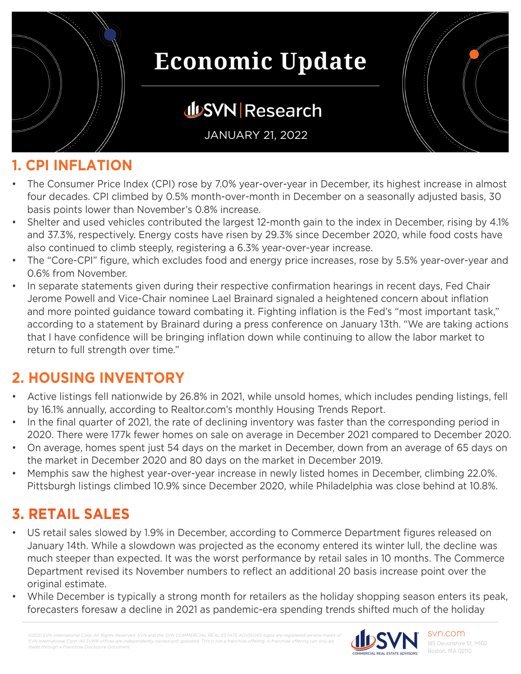

### **JUSVN Research**

JANUARY 21, 2022

#### **1. CPI INFLATION**

- The Consumer Price Index (CPI) rose by 7.0% year-over-year in December, its highest increase in almost four decades. CPI climbed by 0.5% month-over-month in December on a seasonally adjusted basis, 30 basis points lower than November's 0.8% increase.
- Shelter and used vehicles contributed the largest 12-month gain to the index in December, rising by 4.1% and 37.3%, respectively. Energy costs have risen by 29.3% since December 2020, while food costs have also continued to climb steeply, registering a 6.3% year-over-year increase.
- The "Core-CPI" figure, which excludes food and energy price increases, rose by 5.5% year-over-year and 0.6% from November.
- In separate statements given during their respective confirmation hearings in recent days, Fed Chair Jerome Powell and Vice-Chair nominee Lael Brainard signaled a heightened concern about inflation and more pointed guidance toward combating it. Fighting inflation is the Fed's "most important task," according to a statement by Brainard during a press conference on January 13th. "We are taking actions that I have confidence will be bringing inflation down while continuing to allow the labor market to return to full strength over time."

### **2. HOUSING INVENTORY**

- Active listings fell nationwide by 26.8% in 2021, while unsold homes, which includes pending listings, fell by 16.1% annually, according to Realtor.com's monthly Housing Trends Report.
- In the final quarter of 2021, the rate of declining inventory was faster than the corresponding period in 2020. There were 177k fewer homes on sale on average in December 2021 compared to December 2020.
- On average, homes spent just 54 days on the market in December, down from an average of 65 days on the market in December 2020 and 80 days on the market in December 2019.
- Memphis saw the highest year-over-year increase in newly listed homes in December, climbing 22.0%. Pittsburgh listings climbed 10.9% since December 2020, while Philadelphia was close behind at 10.8%.

### **3. RETAIL SALES**

- US retail sales slowed by 1.9% in December, according to Commerce Department figures released on January 14th. While a slowdown was projected as the economy entered its winter lull, the decline was much steeper than expected. It was the worst performance by retail sales in 10 months. The Commerce Department revised its November numbers to reflect an additional 20 basis increase point over the original estimate.
- While December is typically a strong month for retailers as the holiday shopping season enters its peak, forecasters foresaw a decline in 2021 as pandemic-era spending trends shifted much of the holiday

*SVN International Corp. All SVN® offices are indeperational Corp. All SVN® offices are indeperational made through a Franchise Disclosure Document.*



svn.com 185 Devonshire St, M102 Boston, MA 02110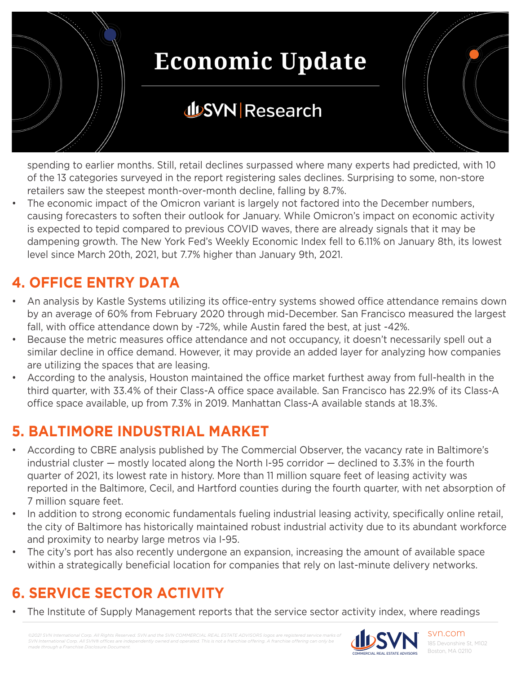

### **JUSVN Research**

spending to earlier months. Still, retail declines surpassed where many experts had predicted, with 10 of the 13 categories surveyed in the report registering sales declines. Surprising to some, non-store retailers saw the steepest month-over-month decline, falling by 8.7%.

The economic impact of the Omicron variant is largely not factored into the December numbers, causing forecasters to soften their outlook for January. While Omicron's impact on economic activity is expected to tepid compared to previous COVID waves, there are already signals that it may be dampening growth. The New York Fed's Weekly Economic Index fell to 6.11% on January 8th, its lowest level since March 20th, 2021, but 7.7% higher than January 9th, 2021.

### **4. OFFICE ENTRY DATA**

- An analysis by Kastle Systems utilizing its office-entry systems showed office attendance remains down by an average of 60% from February 2020 through mid-December. San Francisco measured the largest fall, with office attendance down by -72%, while Austin fared the best, at just -42%.
- Because the metric measures office attendance and not occupancy, it doesn't necessarily spell out a similar decline in office demand. However, it may provide an added layer for analyzing how companies are utilizing the spaces that are leasing.
- According to the analysis, Houston maintained the office market furthest away from full-health in the third quarter, with 33.4% of their Class-A office space available. San Francisco has 22.9% of its Class-A office space available, up from 7.3% in 2019. Manhattan Class-A available stands at 18.3%.

### **5. BALTIMORE INDUSTRIAL MARKET**

- According to CBRE analysis published by The Commercial Observer, the vacancy rate in Baltimore's industrial cluster — mostly located along the North I-95 corridor — declined to 3.3% in the fourth quarter of 2021, its lowest rate in history. More than 11 million square feet of leasing activity was reported in the Baltimore, Cecil, and Hartford counties during the fourth quarter, with net absorption of 7 million square feet.
- In addition to strong economic fundamentals fueling industrial leasing activity, specifically online retail, the city of Baltimore has historically maintained robust industrial activity due to its abundant workforce and proximity to nearby large metros via I-95.
- The city's port has also recently undergone an expansion, increasing the amount of available space within a strategically beneficial location for companies that rely on last-minute delivery networks.

### **6. SERVICE SECTOR ACTIVITY**

The Institute of Supply Management reports that the service sector activity index, where readings

*©2021 SVN International Corp. All Rights Reserved. SVN and the SVN COMMERCIAL REAL ESTATE ADVISORS logos are registered service marks of SVN International Corp. All SVN® offices are indeperational Corp. All SVN® offices are indeper made through a Franchise Disclosure Document.*

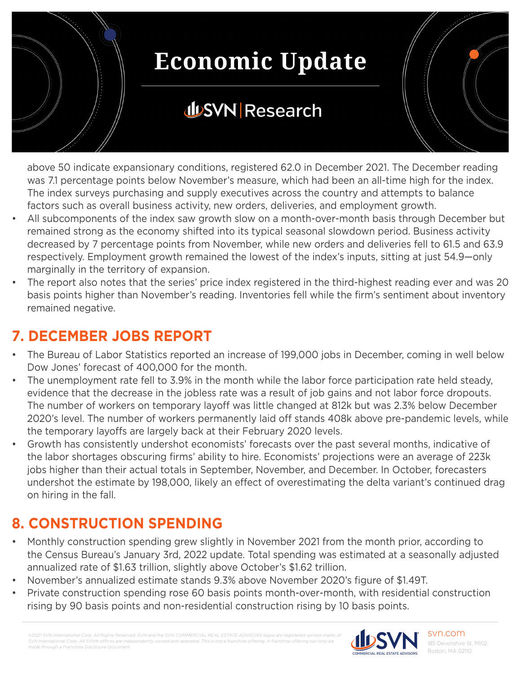

### **JUSVN Research**

above 50 indicate expansionary conditions, registered 62.0 in December 2021. The December reading was 7.1 percentage points below November's measure, which had been an all-time high for the index. The index surveys purchasing and supply executives across the country and attempts to balance factors such as overall business activity, new orders, deliveries, and employment growth.

- All subcomponents of the index saw growth slow on a month-over-month basis through December but remained strong as the economy shifted into its typical seasonal slowdown period. Business activity decreased by 7 percentage points from November, while new orders and deliveries fell to 61.5 and 63.9 respectively. Employment growth remained the lowest of the index's inputs, sitting at just 54.9—only marginally in the territory of expansion.
- The report also notes that the series' price index registered in the third-highest reading ever and was 20 basis points higher than November's reading. Inventories fell while the firm's sentiment about inventory remained negative.

### **7. DECEMBER JOBS REPORT**

- The Bureau of Labor Statistics reported an increase of 199,000 jobs in December, coming in well below Dow Jones' forecast of 400,000 for the month.
- The unemployment rate fell to 3.9% in the month while the labor force participation rate held steady, evidence that the decrease in the jobless rate was a result of job gains and not labor force dropouts. The number of workers on temporary layoff was little changed at 812k but was 2.3% below December 2020's level. The number of workers permanently laid off stands 408k above pre-pandemic levels, while the temporary layoffs are largely back at their February 2020 levels.
- Growth has consistently undershot economists' forecasts over the past several months, indicative of the labor shortages obscuring firms' ability to hire. Economists' projections were an average of 223k jobs higher than their actual totals in September, November, and December. In October, forecasters undershot the estimate by 198,000, likely an effect of overestimating the delta variant's continued drag on hiring in the fall.

### **8. CONSTRUCTION SPENDING**

- Monthly construction spending grew slightly in November 2021 from the month prior, according to the Census Bureau's January 3rd, 2022 update. Total spending was estimated at a seasonally adjusted annualized rate of \$1.63 trillion, slightly above October's \$1.62 trillion.
- November's annualized estimate stands 9.3% above November 2020's figure of \$1.49T.
- Private construction spending rose 60 basis points month-over-month, with residential construction rising by 90 basis points and non-residential construction rising by 10 basis points.

*©2021 SVN International Corp. All Rights Reserved. SVN and the SVN COMMERCIAL REAL ESTATE ADVISORS logos are registered service marks of SVN International Corp. All SVN® offices are independent made through a Franchise Disclosure Document.*



svn.com 185 Devonshire St, M102 Boston, MA 02110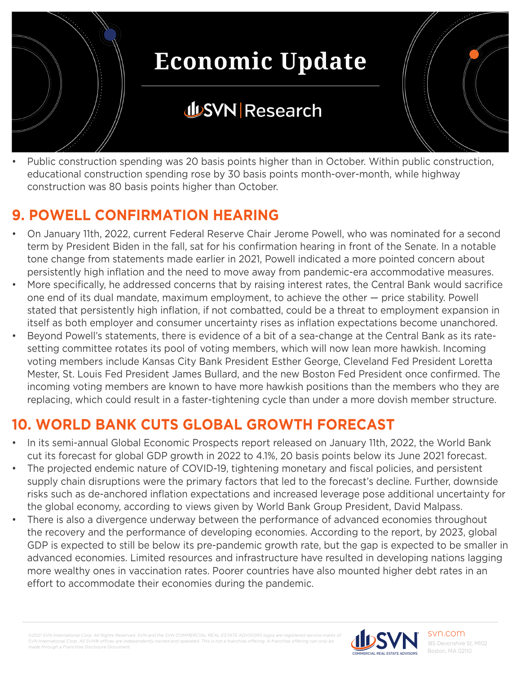

• Public construction spending was 20 basis points higher than in October. Within public construction, educational construction spending rose by 30 basis points month-over-month, while highway construction was 80 basis points higher than October.

### **9. POWELL CONFIRMATION HEARING**

- On January 11th, 2022, current Federal Reserve Chair Jerome Powell, who was nominated for a second term by President Biden in the fall, sat for his confirmation hearing in front of the Senate. In a notable tone change from statements made earlier in 2021, Powell indicated a more pointed concern about persistently high inflation and the need to move away from pandemic-era accommodative measures.
- More specifically, he addressed concerns that by raising interest rates, the Central Bank would sacrifice one end of its dual mandate, maximum employment, to achieve the other — price stability. Powell stated that persistently high inflation, if not combatted, could be a threat to employment expansion in itself as both employer and consumer uncertainty rises as inflation expectations become unanchored.
- Beyond Powell's statements, there is evidence of a bit of a sea-change at the Central Bank as its ratesetting committee rotates its pool of voting members, which will now lean more hawkish. Incoming voting members include Kansas City Bank President Esther George, Cleveland Fed President Loretta Mester, St. Louis Fed President James Bullard, and the new Boston Fed President once confirmed. The incoming voting members are known to have more hawkish positions than the members who they are replacing, which could result in a faster-tightening cycle than under a more dovish member structure.

### **10. WORLD BANK CUTS GLOBAL GROWTH FORECAST**

- In its semi-annual Global Economic Prospects report released on January 11th, 2022, the World Bank cut its forecast for global GDP growth in 2022 to 4.1%, 20 basis points below its June 2021 forecast.
- The projected endemic nature of COVID-19, tightening monetary and fiscal policies, and persistent supply chain disruptions were the primary factors that led to the forecast's decline. Further, downside risks such as de-anchored inflation expectations and increased leverage pose additional uncertainty for the global economy, according to views given by World Bank Group President, David Malpass.
- There is also a divergence underway between the performance of advanced economies throughout the recovery and the performance of developing economies. According to the report, by 2023, global GDP is expected to still be below its pre-pandemic growth rate, but the gap is expected to be smaller in advanced economies. Limited resources and infrastructure have resulted in developing nations lagging more wealthy ones in vaccination rates. Poorer countries have also mounted higher debt rates in an effort to accommodate their economies during the pandemic.

*©2021 SVN International Corp. All Rights Reserved. SVN and the SVN COMMERCIAL REAL ESTATE ADVISORS logos are registered service marks of SVN International Corp. All SVN® offices are independently owned and operated. This is not a franchise offering. A franchise offering can only be made through a Franchise Disclosure Document.*